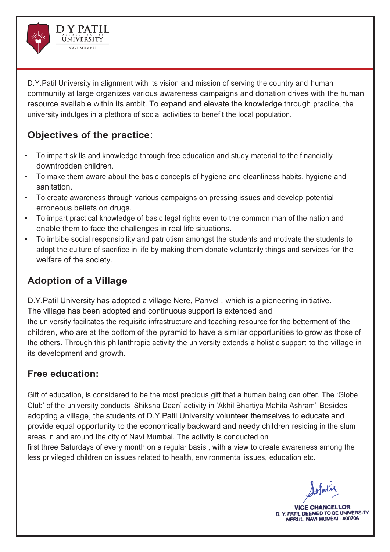

D.Y.Patil University in alignment with its vision and mission of serving the country and human community at large organizes various awareness campaigns and donation drives with the human resource available within its ambit. To expand and elevate the knowledge through practice, the university indulges in a plethora of social activities to benefit the local population.

## **Objectives of the practice**:

- To impart skills and knowledge through free education and study material to the financially downtrodden children.
- To make them aware about the basic concepts of hygiene and cleanliness habits, hygiene and sanitation.
- To create awareness through various campaigns on pressing issues and develop potential erroneous beliefs on drugs.
- To impart practical knowledge of basic legal rights even to the common man of the nation and enable them to face the challenges in real life situations.
- To imbibe social responsibility and patriotism amongst the students and motivate the students to adopt the culture of sacrifice in life by making them donate voluntarily things and services for the welfare of the society.

# **Adoption of a Village**

D.Y.Patil University has adopted a village Nere, Panvel , which is a pioneering initiative. The village has been adopted and continuous support is extended and the university facilitates the requisite infrastructure and teaching resource for the betterment of the children, who are at the bottom of the pyramid to have a similar opportunities to grow as those of the others. Through this philanthropic activity the university extends a holistic support to the village in its development and growth.

## **Free education:**

Gift of education, is considered to be the most precious gift that a human being can offer. The 'Globe Club' of the university conducts 'Shiksha Daan' activity in 'Akhil Bhartiya Mahila Ashram' Besides adopting a village, the students of D.Y.Patil University volunteer themselves to educate and provide equal opportunity to the economically backward and needy children residing in the slum areas in and around the city of Navi Mumbai. The activity is conducted on first three Saturdays of every month on a regular basis , with a view to create awareness among the

less privileged children on issues related to health, environmental issues, education etc.

slat

**VICE CHANCELI** D. Y. PATIL DEEMED TO BE UNIVERSITY NERUL, NAVI MUMBAI - 400706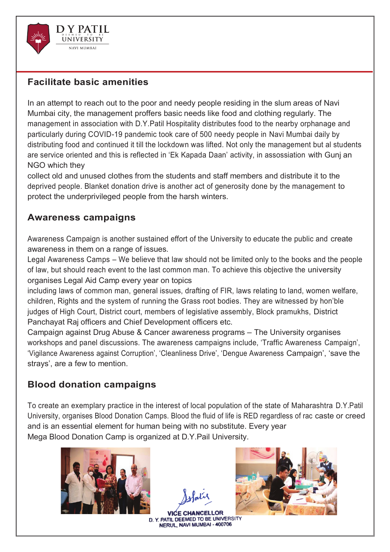

#### **Facilitate basic amenities**

In an attempt to reach out to the poor and needy people residing in the slum areas of Navi Mumbai city, the management proffers basic needs like food and clothing regularly. The management in association with D.Y.Patil Hospitality distributes food to the nearby orphanage and particularly during COVID-19 pandemic took care of 500 needy people in Navi Mumbai daily by distributing food and continued it till the lockdown was lifted. Not only the management but al students are service oriented and this is reflected in 'Ek Kapada Daan' activity, in assossiation with Gunj an NGO which they

collect old and unused clothes from the students and staff members and distribute it to the deprived people. Blanket donation drive is another act of generosity done by the management to protect the underprivileged people from the harsh winters.

#### **Awareness campaigns**

Awareness Campaign is another sustained effort of the University to educate the public and create awareness in them on a range of issues.

Legal Awareness Camps – We believe that law should not be limited only to the books and the people of law, but should reach event to the last common man. To achieve this objective the university organises Legal Aid Camp every year on topics

including laws of common man, general issues, drafting of FIR, laws relating to land, women welfare, children, Rights and the system of running the Grass root bodies. They are witnessed by hon'ble judges of High Court, District court, members of legislative assembly, Block pramukhs, District Panchayat Raj officers and Chief Development officers etc.

Campaign against Drug Abuse & Cancer awareness programs – The University organises workshops and panel discussions. The awareness campaigns include, 'Traffic Awareness Campaign', 'Vigilance Awareness against Corruption', 'Cleanliness Drive', 'Dengue Awareness Campaign', 'save the strays', are a few to mention.

#### **Blood donation campaigns**

To create an exemplary practice in the interest of local population of the state of Maharashtra D.Y.Patil University, organises Blood Donation Camps. Blood the fluid of life is RED regardless of rac caste or creed and is an essential element for human being with no substitute. Every year Mega Blood Donation Camp is organized at D.Y.Pail University.



**VICE CHANCELLOR** D. Y. PATIL DEEMED TO BE UNIVERSITY NERUL, NAVI MUMBAI - 400706

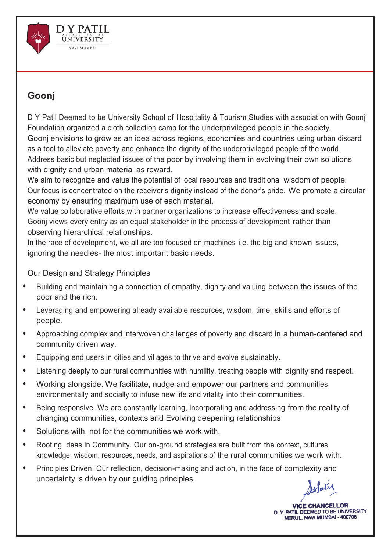

### **Goonj**

D Y Patil Deemed to be University School of Hospitality & Tourism Studies with association with Goonj Foundation organized a cloth collection camp for the underprivileged people in the society. Goonj envisions to grow as an idea across regions, economies and countries using urban discard as a tool to alleviate poverty and enhance the dignity of the underprivileged people of the world. Address basic but neglected issues of the poor by involving them in evolving their own solutions with dignity and urban material as reward.

We aim to recognize and value the potential of local resources and traditional wisdom of people. Our focus is concentrated on the receiver's dignity instead of the donor's pride. We promote a circular economy by ensuring maximum use of each material.

We value collaborative efforts with partner organizations to increase effectiveness and scale. Goonj views every entity as an equal stakeholder in the process of development rather than observing hierarchical relationships.

In the race of development, we all are too focused on machines i.e. the big and known issues, ignoring the needles- the most important basic needs.

#### Our Design and Strategy Principles

- Building and maintaining a connection of empathy, dignity and valuing between the issues of the poor and the rich.
- Leveraging and empowering already available resources, wisdom, time, skills and efforts of people.
- Approaching complex and interwoven challenges of poverty and discard in a human-centered and community driven way.
- Equipping end users in cities and villages to thrive and evolve sustainably.
- Listening deeply to our rural communities with humility, treating people with dignity and respect.
- Working alongside. We facilitate, nudge and empower our partners and communities environmentally and socially to infuse new life and vitality into their communities.
- Being responsive. We are constantly learning, incorporating and addressing from the reality of changing communities, contexts and Evolving deepening relationships
- Solutions with, not for the communities we work with.
- Rooting Ideas in Community. Our on-ground strategies are built from the context, cultures, knowledge, wisdom, resources, needs, and aspirations of the rural communities we work with.
- Principles Driven. Our reflection, decision-making and action, in the face of complexity and uncertainty is driven by our guiding principles.

Jolatie

**VICE CHANCELLOR** D. Y. PATIL DEEMED TO BE UNIVERSITY NERUL, NAVI MUMBAI - 400706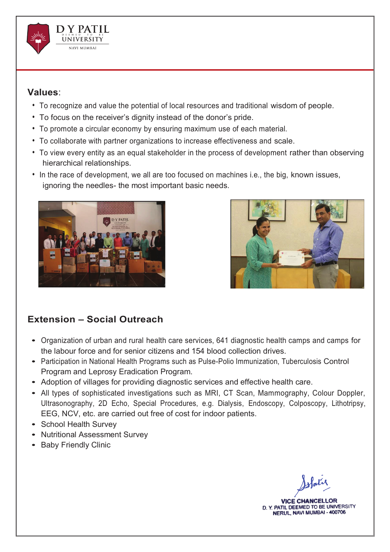

#### **Values**:

- To recognize and value the potential of local resources and traditional wisdom of people.
- To focus on the receiver's dignity instead of the donor's pride.
- To promote a circular economy by ensuring maximum use of each material.
- To collaborate with partner organizations to increase effectiveness and scale.
- To view every entity as an equal stakeholder in the process of development rather than observing hierarchical relationships.
- In the race of development, we all are too focused on machines i.e., the big, known issues, ignoring the needles- the most important basic needs.





#### **Extension – Social Outreach**

- Organization of urban and rural health care services, 641 diagnostic health camps and camps for the labour force and for senior citizens and 154 blood collection drives.
- Participation in National Health Programs such as Pulse-Polio Immunization, Tuberculosis Control Program and Leprosy Eradication Program.
- Adoption of villages for providing diagnostic services and effective health care.
- All types of sophisticated investigations such as MRI, CT Scan, Mammography, Colour Doppler, Ultrasonography, 2D Echo, Special Procedures, e.g. Dialysis, Endoscopy, Colposcopy, Lithotripsy, EEG, NCV, etc. are carried out free of cost for indoor patients.
- School Health Survey
- Nutritional Assessment Survey
- Baby Friendly Clinic

**VICE CHANCELLOR** D. Y. PATIL DEEMED TO BE UNIVERSITY NERUL, NAVI MUMBAI - 400706